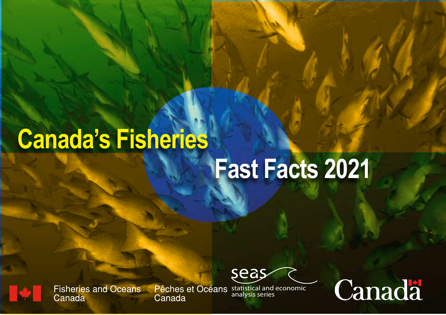# **Canada's Fisheries**

# **Fast Facts 2021**



**Fisheries and Oceans** Canada

Canada

Pêches et Océans statistical and economic analysis series

seas

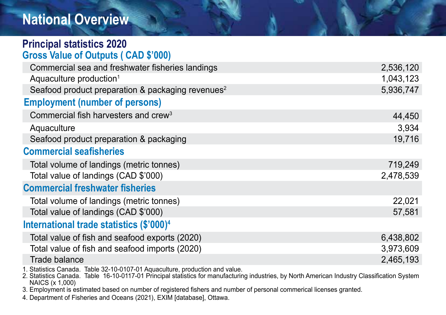## **National Overview**

| <b>Principal statistics 2020</b>                                             |           |
|------------------------------------------------------------------------------|-----------|
| <b>Gross Value of Outputs (CAD \$'000)</b>                                   |           |
| Commercial sea and freshwater fisheries landings                             | 2,536,120 |
| Aquaculture production <sup>1</sup>                                          | 1,043,123 |
| Seafood product preparation & packaging revenues <sup>2</sup>                | 5,936,747 |
| <b>Employment (number of persons)</b>                                        |           |
| Commercial fish harvesters and crew <sup>3</sup>                             | 44,450    |
| Aquaculture                                                                  | 3,934     |
| Seafood product preparation & packaging                                      | 19,716    |
| <b>Commercial seafisheries</b>                                               |           |
| Total volume of landings (metric tonnes)                                     | 719,249   |
| Total value of landings (CAD \$'000)                                         | 2,478,539 |
| <b>Commercial freshwater fisheries</b>                                       |           |
| Total volume of landings (metric tonnes)                                     | 22,021    |
| Total value of landings (CAD \$'000)                                         | 57,581    |
| International trade statistics (\$'000) <sup>4</sup>                         |           |
| Total value of fish and seafood exports (2020)                               | 6,438,802 |
| Total value of fish and seafood imports (2020)                               | 3,973,609 |
| Trade balance                                                                | 2,465,193 |
| 1. Statistics Canada. Table 32-10-0107-01 Aquaculture, production and value. |           |

2. Statistics Canada. Table 16-10-0117-01 Principal statistics for manufacturing industries, by North American Industry Classification System NAICS (x 1,000)

3. Employment is estimated based on number of registered fishers and number of personal commerical licenses granted.

4. Department of Fisheries and Oceans (2021), EXIM [database], Ottawa.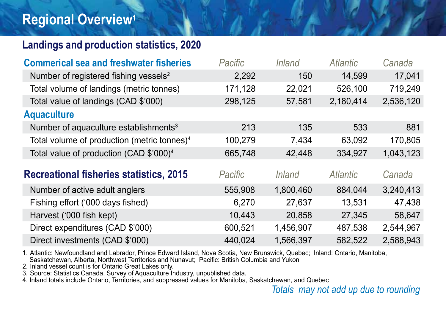### **Regional Overview1**

#### **Landings and production statistics, 2020**

| <b>Commerical sea and freshwater fisheries</b>          | Pacific | <i>Inland</i> | Atlantic        | Canada    |
|---------------------------------------------------------|---------|---------------|-----------------|-----------|
| Number of registered fishing vessels <sup>2</sup>       | 2,292   | 150           | 14,599          | 17,041    |
| Total volume of landings (metric tonnes)                | 171,128 | 22,021        | 526,100         | 719,249   |
| Total value of landings (CAD \$'000)                    | 298,125 | 57,581        | 2,180,414       | 2,536,120 |
| <b>Aquaculture</b>                                      |         |               |                 |           |
| Number of aquaculture establishments <sup>3</sup>       | 213     | 135           | 533             | 881       |
| Total volume of production (metric tonnes) <sup>4</sup> | 100,279 | 7,434         | 63,092          | 170,805   |
| Total value of production (CAD \$'000) <sup>4</sup>     | 665,748 | 42,448        | 334,927         | 1,043,123 |
| <b>Recreational fisheries statistics, 2015</b>          | Pacific | <i>Inland</i> | <b>Atlantic</b> | Canada    |
| Number of active adult anglers                          | 555,908 | 1,800,460     | 884,044         | 3,240,413 |
| Fishing effort ('000 days fished)                       | 6,270   | 27,637        | 13,531          | 47,438    |
| Harvest ('000 fish kept)                                | 10,443  | 20,858        | 27,345          | 58,647    |
| Direct expenditures (CAD \$'000)                        | 600,521 | 1,456,907     | 487,538         | 2,544,967 |
| Direct investments (CAD \$'000)                         | 440,024 | 1,566,397     | 582,522         | 2,588,943 |

1. Atlantic: Newfoundland and Labrador, Prince Edward Island, Nova Scotia, New Brunswick, Quebec; Inland: Ontario, Manitoba, Saskatchewan, Alberta, Northwest Territories and Nunavut; Pacific: British Columbia and Yukon

2. Inland vessel count is for Ontario Great Lakes only.

3. Source: Statistics Canada, Survey of Aquaculture Industry, unpublished data.

4. Inland totals include Ontario, Territories, and suppressed values for Manitoba, Saskatchewan, and Quebec

*Totals may not add up due to rounding*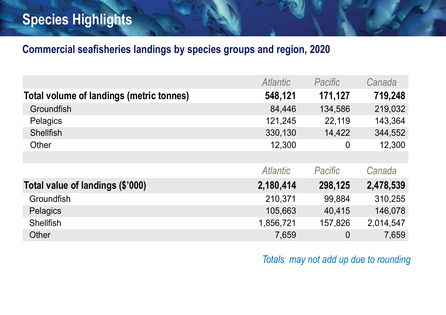# **Species Highlights**

#### **Commercial seafisheries landings by species groups and region, 2020**

|                                          | <b>Atlantic</b> | Pacific | Canada    |
|------------------------------------------|-----------------|---------|-----------|
| Total volume of landings (metric tonnes) | 548,121         | 171,127 | 719,248   |
| Groundfish                               | 84,446          | 134,586 | 219,032   |
| Pelagics                                 | 121,245         | 22,119  | 143,364   |
| <b>Shellfish</b>                         | 330,130         | 14,422  | 344,552   |
| Other                                    | 12,300          | 0       | 12,300    |
|                                          |                 |         |           |
|                                          | Atlantic        | Pacific | Canada    |
| Total value of landings (\$'000)         | 2,180,414       | 298,125 | 2,478,539 |
| Groundfish                               | 210,371         | 99,884  | 310,255   |
| Pelagics                                 | 105,663         | 40,415  | 146,078   |
| Shellfish                                | 1,856,721       | 157,826 | 2,014,547 |
| Other                                    | 7,659           | 0       | 7,659     |

*Totals may not add up due to rounding*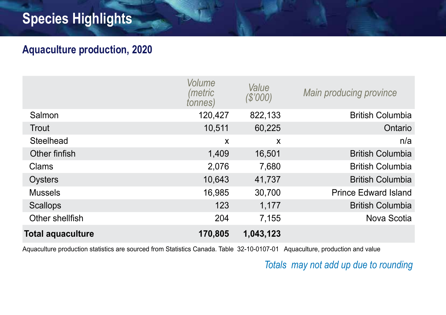## **Species Highlights**

#### **Aquaculture production, 2020**

|                          | Volume<br>(metric<br>tonnes) | Value<br>(S'000)          | Main producing province     |
|--------------------------|------------------------------|---------------------------|-----------------------------|
| Salmon                   | 120,427                      | 822,133                   | <b>British Columbia</b>     |
| Trout                    | 10,511                       | 60,225                    | Ontario                     |
| Steelhead                | X                            | $\boldsymbol{\mathsf{x}}$ | n/a                         |
| Other finfish            | 1,409                        | 16,501                    | <b>British Columbia</b>     |
| Clams                    | 2,076                        | 7,680                     | <b>British Columbia</b>     |
| Oysters                  | 10,643                       | 41,737                    | <b>British Columbia</b>     |
| <b>Mussels</b>           | 16,985                       | 30,700                    | <b>Prince Edward Island</b> |
| <b>Scallops</b>          | 123                          | 1,177                     | <b>British Columbia</b>     |
| Other shellfish          | 204                          | 7,155                     | Nova Scotia                 |
| <b>Total aquaculture</b> | 170,805                      | 1,043,123                 |                             |

Aquaculture production statistics are sourced from Statistics Canada. Table 32-10-0107-01 Aquaculture, production and value

#### *Totals may not add up due to rounding*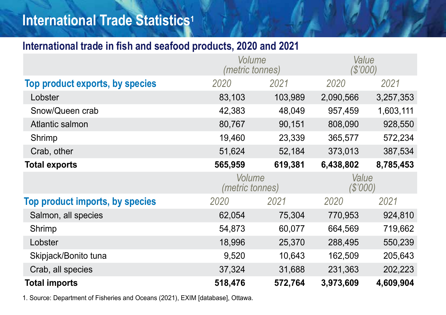## **International Trade Statistics1**

#### **International trade in fish and seafood products, 2020 and 2021**

|                                 | Volume<br>(metric tonnes) |                           | Value<br>(S'000) |           |
|---------------------------------|---------------------------|---------------------------|------------------|-----------|
| Top product exports, by species | 2020                      | 2021                      | 2020             | 2021      |
| Lobster                         | 83,103                    | 103,989                   | 2,090,566        | 3,257,353 |
| Snow/Queen crab                 | 42,383                    | 48,049                    | 957,459          | 1,603,111 |
| Atlantic salmon                 | 80,767                    | 90,151                    | 808,090          | 928,550   |
| Shrimp                          | 19,460                    | 23,339                    | 365,577          | 572,234   |
| Crab, other                     | 51,624                    | 52,184                    | 373,013          | 387,534   |
| <b>Total exports</b>            | 565,959                   | 619,381                   | 6,438,802        | 8,785,453 |
|                                 |                           | Volume<br>(metric tonnes) |                  |           |
|                                 |                           |                           | Value<br>(S'000) |           |
| Top product imports, by species | 2020                      | 2021                      | 2020             | 2021      |
| Salmon, all species             | 62,054                    | 75,304                    | 770,953          | 924,810   |
| Shrimp                          | 54,873                    | 60,077                    | 664,569          | 719,662   |
| Lobster                         | 18,996                    | 25,370                    | 288,495          | 550,239   |
| Skipjack/Bonito tuna            | 9,520                     | 10,643                    | 162,509          | 205,643   |
| Crab, all species               | 37,324                    | 31,688                    | 231,363          | 202,223   |

1. Source: Department of Fisheries and Oceans (2021), EXIM [database], Ottawa.